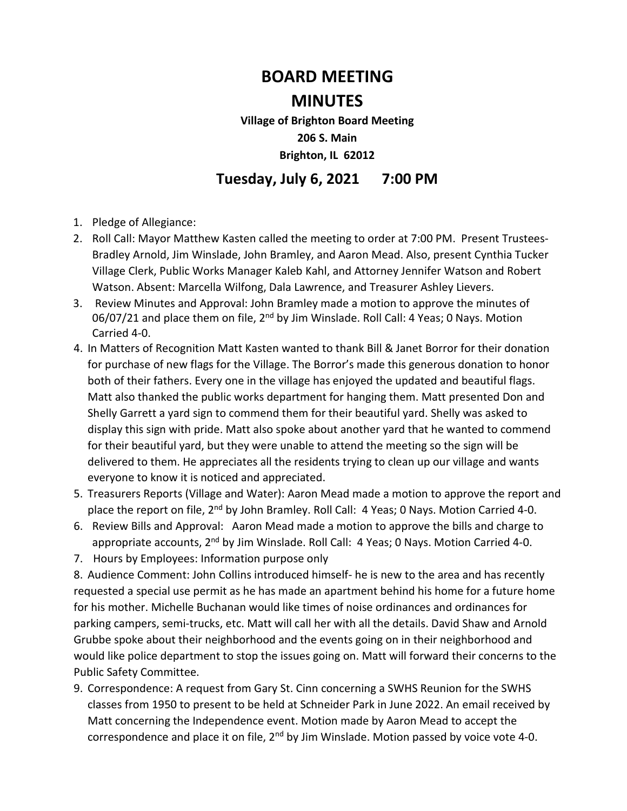## **BOARD MEETING**

## **MINUTES**

**Village of Brighton Board Meeting 206 S. Main Brighton, IL 62012** 

## **Tuesday, July 6, 2021 7:00 PM**

- 1. Pledge of Allegiance:
- 2. Roll Call: Mayor Matthew Kasten called the meeting to order at 7:00 PM. Present Trustees-Bradley Arnold, Jim Winslade, John Bramley, and Aaron Mead. Also, present Cynthia Tucker Village Clerk, Public Works Manager Kaleb Kahl, and Attorney Jennifer Watson and Robert Watson. Absent: Marcella Wilfong, Dala Lawrence, and Treasurer Ashley Lievers.
- 3. Review Minutes and Approval: John Bramley made a motion to approve the minutes of 06/07/21 and place them on file,  $2^{nd}$  by Jim Winslade. Roll Call: 4 Yeas; 0 Nays. Motion Carried 4-0.
- 4. In Matters of Recognition Matt Kasten wanted to thank Bill & Janet Borror for their donation for purchase of new flags for the Village. The Borror's made this generous donation to honor both of their fathers. Every one in the village has enjoyed the updated and beautiful flags. Matt also thanked the public works department for hanging them. Matt presented Don and Shelly Garrett a yard sign to commend them for their beautiful yard. Shelly was asked to display this sign with pride. Matt also spoke about another yard that he wanted to commend for their beautiful yard, but they were unable to attend the meeting so the sign will be delivered to them. He appreciates all the residents trying to clean up our village and wants everyone to know it is noticed and appreciated.
- 5. Treasurers Reports (Village and Water): Aaron Mead made a motion to approve the report and place the report on file, 2<sup>nd</sup> by John Bramley. Roll Call: 4 Yeas; 0 Nays. Motion Carried 4-0.
- 6. Review Bills and Approval: Aaron Mead made a motion to approve the bills and charge to appropriate accounts, 2<sup>nd</sup> by Jim Winslade. Roll Call: 4 Yeas; 0 Nays. Motion Carried 4-0.
- 7. Hours by Employees: Information purpose only

8. Audience Comment: John Collins introduced himself- he is new to the area and has recently requested a special use permit as he has made an apartment behind his home for a future home for his mother. Michelle Buchanan would like times of noise ordinances and ordinances for parking campers, semi-trucks, etc. Matt will call her with all the details. David Shaw and Arnold Grubbe spoke about their neighborhood and the events going on in their neighborhood and would like police department to stop the issues going on. Matt will forward their concerns to the Public Safety Committee.

9. Correspondence: A request from Gary St. Cinn concerning a SWHS Reunion for the SWHS classes from 1950 to present to be held at Schneider Park in June 2022. An email received by Matt concerning the Independence event. Motion made by Aaron Mead to accept the correspondence and place it on file, 2<sup>nd</sup> by Jim Winslade. Motion passed by voice vote 4-0.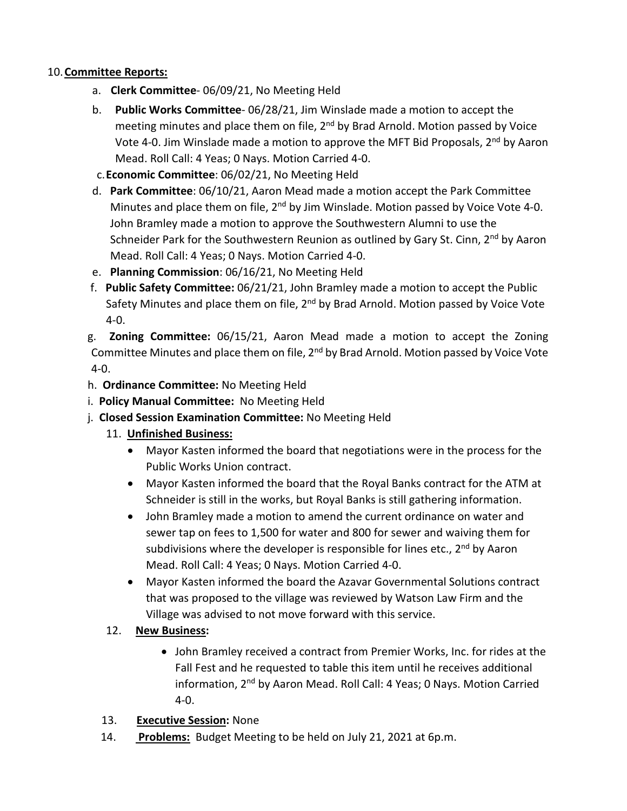## 10.**Committee Reports:**

- a. **Clerk Committee** 06/09/21, No Meeting Held
- b. **Public Works Committee** 06/28/21, Jim Winslade made a motion to accept the meeting minutes and place them on file, 2<sup>nd</sup> by Brad Arnold. Motion passed by Voice Vote 4-0. Jim Winslade made a motion to approve the MFT Bid Proposals, 2nd by Aaron Mead. Roll Call: 4 Yeas; 0 Nays. Motion Carried 4-0.
- c.**Economic Committee**: 06/02/21, No Meeting Held
- d. **Park Committee**: 06/10/21, Aaron Mead made a motion accept the Park Committee Minutes and place them on file,  $2<sup>nd</sup>$  by Jim Winslade. Motion passed by Voice Vote 4-0. John Bramley made a motion to approve the Southwestern Alumni to use the Schneider Park for the Southwestern Reunion as outlined by Gary St. Cinn,  $2^{nd}$  by Aaron Mead. Roll Call: 4 Yeas; 0 Nays. Motion Carried 4-0.
- e. **Planning Commission**: 06/16/21, No Meeting Held
- f. **Public Safety Committee:** 06/21/21, John Bramley made a motion to accept the Public Safety Minutes and place them on file, 2<sup>nd</sup> by Brad Arnold. Motion passed by Voice Vote 4-0.
- g. **Zoning Committee:** 06/15/21, Aaron Mead made a motion to accept the Zoning Committee Minutes and place them on file, 2nd by Brad Arnold. Motion passed by Voice Vote 4-0.
- h. **Ordinance Committee:** No Meeting Held
- i. **Policy Manual Committee:** No Meeting Held
- j. **Closed Session Examination Committee:** No Meeting Held
	- 11. **Unfinished Business:** 
		- Mayor Kasten informed the board that negotiations were in the process for the Public Works Union contract.
		- Mayor Kasten informed the board that the Royal Banks contract for the ATM at Schneider is still in the works, but Royal Banks is still gathering information.
		- John Bramley made a motion to amend the current ordinance on water and sewer tap on fees to 1,500 for water and 800 for sewer and waiving them for subdivisions where the developer is responsible for lines etc.,  $2<sup>nd</sup>$  by Aaron Mead. Roll Call: 4 Yeas; 0 Nays. Motion Carried 4-0.
		- Mayor Kasten informed the board the Azavar Governmental Solutions contract that was proposed to the village was reviewed by Watson Law Firm and the Village was advised to not move forward with this service.
	- 12. **New Business:** 
		- John Bramley received a contract from Premier Works, Inc. for rides at the Fall Fest and he requested to table this item until he receives additional information, 2nd by Aaron Mead. Roll Call: 4 Yeas; 0 Nays. Motion Carried 4-0.
	- 13. **Executive Session:** None
	- 14. **Problems:** Budget Meeting to be held on July 21, 2021 at 6p.m.